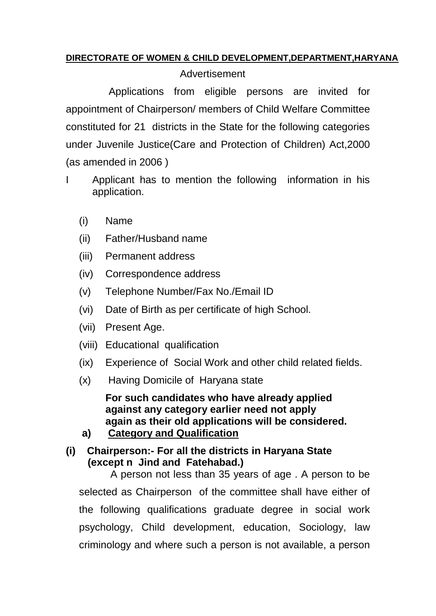## **DIRECTORATE OF WOMEN & CHILD DEVELOPMENT,DEPARTMENT,HARYANA**

## Advertisement

 Applications from eligible persons are invited for appointment of Chairperson/ members of Child Welfare Committee constituted for 21 districts in the State for the following categories under Juvenile Justice(Care and Protection of Children) Act,2000 (as amended in 2006 )

- I Applicant has to mention the following information in his application.
	- (i) Name
	- (ii) Father/Husband name
	- (iii) Permanent address
	- (iv) Correspondence address
	- (v) Telephone Number/Fax No./Email ID
	- (vi) Date of Birth as per certificate of high School.
	- (vii) Present Age.
	- (viii) Educational qualification
	- (ix) Experience of Social Work and other child related fields.
	- (x) Having Domicile of Haryana state

**For such candidates who have already applied against any category earlier need not apply again as their old applications will be considered.** 

**a) Category and Qualification**

**(i) Chairperson:- For all the districts in Haryana State (except n Jind and Fatehabad.)**

 A person not less than 35 years of age . A person to be selected as Chairperson of the committee shall have either of the following qualifications graduate degree in social work psychology, Child development, education, Sociology, law criminology and where such a person is not available, a person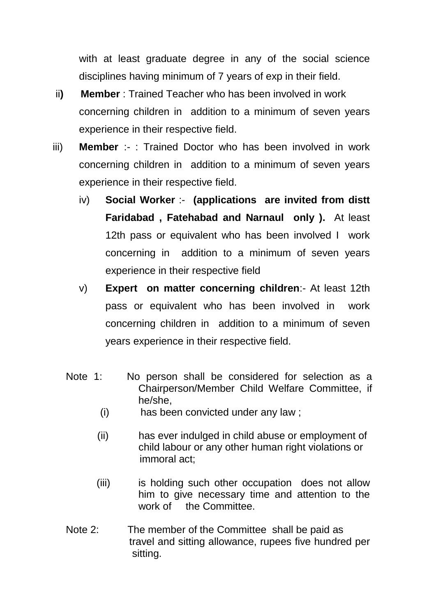with at least graduate degree in any of the social science disciplines having minimum of 7 years of exp in their field.

- ii**) Member** : Trained Teacher who has been involved in work concerning children in addition to a minimum of seven years experience in their respective field.
- iii) **Member** :- : Trained Doctor who has been involved in work concerning children in addition to a minimum of seven years experience in their respective field.
	- iv) **Social Worker** :- **(applications are invited from distt Faridabad , Fatehabad and Narnaul only ).** At least 12th pass or equivalent who has been involved I work concerning in addition to a minimum of seven years experience in their respective field
	- v) **Expert on matter concerning children**:- At least 12th pass or equivalent who has been involved in work concerning children in addition to a minimum of seven years experience in their respective field.
	- Note 1: No person shall be considered for selection as a Chairperson/Member Child Welfare Committee, if he/she,
		- (i) has been convicted under any law ;
		- (ii) has ever indulged in child abuse or employment of child labour or any other human right violations or immoral act;
		- (iii) is holding such other occupation does not allow him to give necessary time and attention to the work of the Committee.
	- Note 2: The member of the Committee shall be paid as travel and sitting allowance, rupees five hundred per sitting.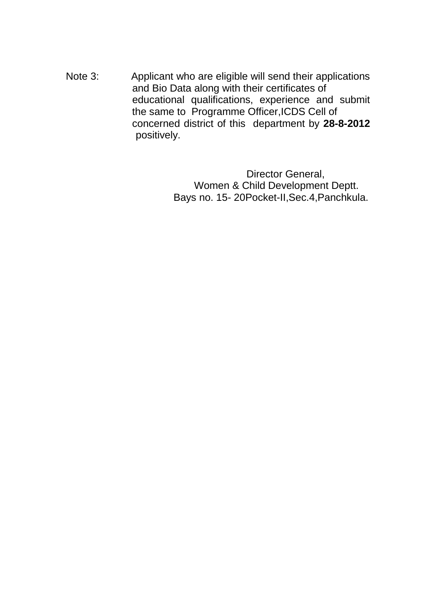Note 3: Applicant who are eligible will send their applications and Bio Data along with their certificates of educational qualifications, experience and submit the same to Programme Officer,ICDS Cell of concerned district of this department by **28-8-2012** positively.

> Director General, Women & Child Development Deptt. Bays no. 15- 20Pocket-II,Sec.4,Panchkula.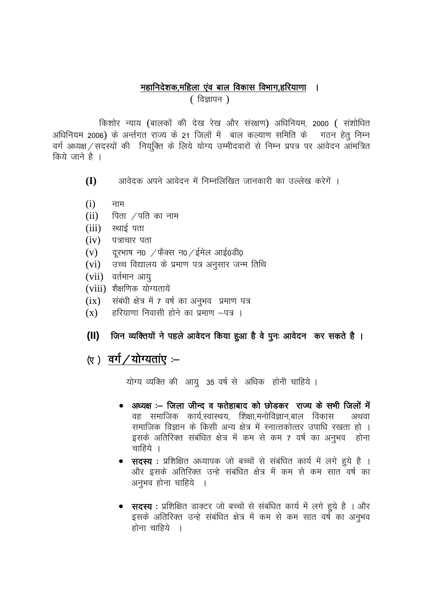## महानिदेशक,महिला एंव बाल विकास विभाग,हरियाणा ।

(विज्ञापन)

किशोर न्याय (बालकों की देख रेख और संरक्षण) अधिनियम, 2000 ( संशोधित अधिनियम 2006) के अर्न्तगत राज्य के 21 जिलों में बाल कल्याण समिति के गठन हेत निम्न वर्ग अध्यक्ष / सदस्यों की नियुक्ति के लिये योग्य उम्मीदवारों से निम्न प्रपत्र पर आवेदन आमंत्रित किये जाने है ।

- आवेदक अपने आवेदन में निम्नलिखित जानकारी का उल्लेख करेगें ।  $(1)$
- $(i)$ नाम
- पिता $\sqrt{q}$ पति का नाम  $(ii)$
- $(iii)$  स्थाई पता
- $(iv)$ पत्राचार पता
- दरभाष न0  $\pi$ फेक्स न0  $\pi$ ईमेल आई0डी0  $(v)$
- उच्च विद्यालय के प्रमाण पत्र अनुसार जन्म तिथि  $(vi)$
- (vii) वर्तमान आय
- (viii) शैक्षणिक योग्यतायें
- $(ix)$  संबंधी क्षेत्र में 7 वर्ष का अनुभव प्रमाण पत्र
- हरियाणा निवासी होने का प्रमाण –पत्र ।  $(X)$
- जिन व्यक्तियों ने पहले आवेदन किया हुआ है वे पुनः आवेदन कर सकते है ।  $(11)$

## (ए) वर्ग/योग्यताए $-$

योग्य व्यक्ति की आयु 35 वर्ष से अधिक होनी चाहिये ।

- अध्यक्ष :– जिला जीन्द व फतेहाबाद को छोडकर राज्य के सभी जिलों में वह समाजिक कार्य.स्वास्थय. शिक्षा.मनोविज्ञान.बाल विकास अथवा समाजिक विज्ञान के किसी अन्य क्षेत्र में स्नात्तकोत्तर उपाधि रखता हो । इसके अतिरिक्त संबंधित क्षेत्र में कम से कम 7 वर्ष का अनुभव होना चाहिये ।
- सदस्य : प्रशिक्षित अध्यापक जो बच्चों से संबंधित कार्य में लगे हुये है । और इसके अतिरिक्त उन्हे संबंधित क्षेत्र में कम से कम सात वर्ष का अनुभव होना चाहिये ।
- **सदस्य** : प्रशिक्षित डाक्टर जो बच्चों से संबंधित कार्य में लगे हुये है । और इसके अतिरिक्त उन्हे संबंधित क्षेत्र में कम से कम सात वर्ष का अनुभव होना चाहिये ।